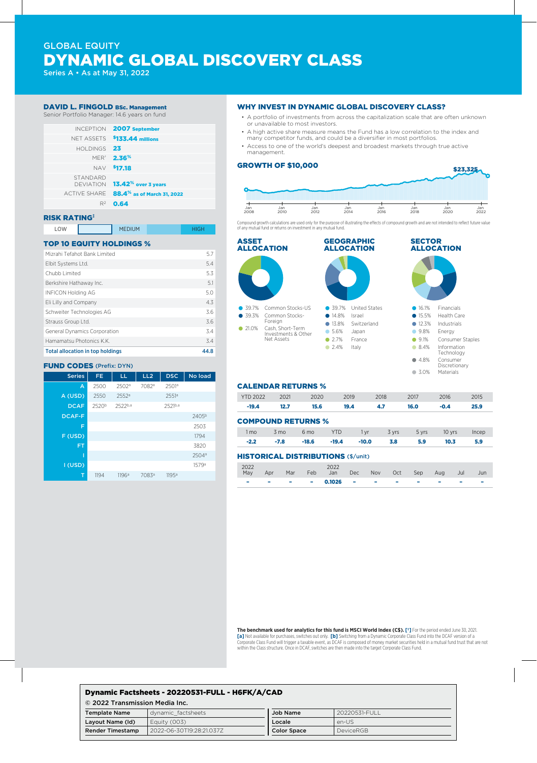# GLOBAL EQUITY DYNAMIC GLOBAL DISCOVERY CLASS

Series A • As at May 31, 2022

### DAVID L. FINGOLD BSc. Management

Senior Portfolio Manager: 14.6 years on fund



#### RISK RATING‡

| LOW | <b>MEDIUM</b> |  |
|-----|---------------|--|
|     |               |  |

### TOP 10 EQUITY HOLDINGS %

| Mizrahi Tefahot Bank Limited            | 5.7  |
|-----------------------------------------|------|
| Elbit Systems Ltd.                      | 5.4  |
| Chubb Limited                           | 5.3  |
| Berkshire Hathaway Inc.                 | 5.1  |
| <b>INFICON Holding AG</b>               | 5.0  |
| Eli Lilly and Company                   | 4.3  |
| Schweiter Technologies AG               | 3.6  |
| Strauss Group Ltd.                      | 3.6  |
| <b>General Dynamics Corporation</b>     | 3.4  |
| Hamamatsu Photonics K.K.                | 3.4  |
| <b>Total allocation in top holdings</b> | 44.8 |

#### FUND CODES (Prefix: DYN)

| <b>Series</b> | FE.               | LL.     | LL <sub>2</sub> | <b>DSC</b> | No load           |
|---------------|-------------------|---------|-----------------|------------|-------------------|
| A             | 2500              | 2502ª   | 7082ª           | 2501ª      |                   |
| A (USD)       | 2550              | 2552a   |                 | 2551a      |                   |
| <b>DCAF</b>   | 2520 <sup>b</sup> | 2522b,a |                 | 2521b,a    |                   |
| <b>DCAF-F</b> |                   |         |                 |            | 2405 <sup>b</sup> |
| F             |                   |         |                 |            | 2503              |
| F (USD)       |                   |         |                 |            | 1794              |
| <b>FT</b>     |                   |         |                 |            | 3820              |
|               |                   |         |                 |            | 2504 <sup>a</sup> |
| I (USD)       |                   |         |                 |            | 1579 <sup>a</sup> |
| т             | 1194              | 1196a   | 7083ª           | 1195a      |                   |

#### WHY INVEST IN DYNAMIC GLOBAL DISCOVERY CLASS?

- A portfolio of investments from across the capitalization scale that are often unknown or unavailable to most investors.
- A high active share measure means the Fund has a low correlation to the index and many competitor funds, and could be a diversifier in most portfolios.
- Access to one of the world's deepest and broadest markets through true active management.

#### GROWTH OF \$10,000



Compound growth calculations are used only for the purpose of illustrating the effects of compound growth and are not intended to reflect future value of any mutual fund or returns on investment in any mutual fund.



#### CALENDAR RETURNS %

| <b>YTD 2022</b>           | 2021 | 2020            | 2019       |      | 2018  | 2017  | 2016   | 2015  |
|---------------------------|------|-----------------|------------|------|-------|-------|--------|-------|
| $-19.4$                   | 12.7 | 15.6            | 19.4       |      | 4.7   | 16.0  | $-0.4$ | 25.9  |
| <b>COMPOUND RETURNS %</b> |      |                 |            |      |       |       |        |       |
| 1 mo                      | 3 mo | 6 <sub>mo</sub> | <b>YTD</b> | 1 vr | 3 yrs | 5 yrs | 10 yrs | Incep |

## HISTORICAL DISTRIBUTIONS (\$/unit)

| 2022<br>May | Apr          | Mar | 2022<br>Feb Jan Dec Nov Oct Sep |                               |  |                                  | - Aug                    | Jul | Jun |
|-------------|--------------|-----|---------------------------------|-------------------------------|--|----------------------------------|--------------------------|-----|-----|
|             | <b>STATE</b> |     | $ -$ 0.1026                     | the company of the company of |  | <b>Service Contract Contract</b> | $\overline{\phantom{a}}$ | -   |     |

-2.2 -7.8 -18.6 -19.4 -10.0 3.8 5.9 10.3 5.9

**The benchmark used for analytics for this fund is MSCI World Index (C\$). [†]** For the period ended June 30, 2021. **[a]** Not available for purchases, switches out only. **[b]** Switching from a Dynamic Corporate Class Fund into the DCAF version of a Corporate Class Fund will trigger a taxable event, as DCAF is composed of money market securities held in a mutual fund trust that are not within the Class structure. Once in DCAF, switches are then made into the target Corporate Class Fund.